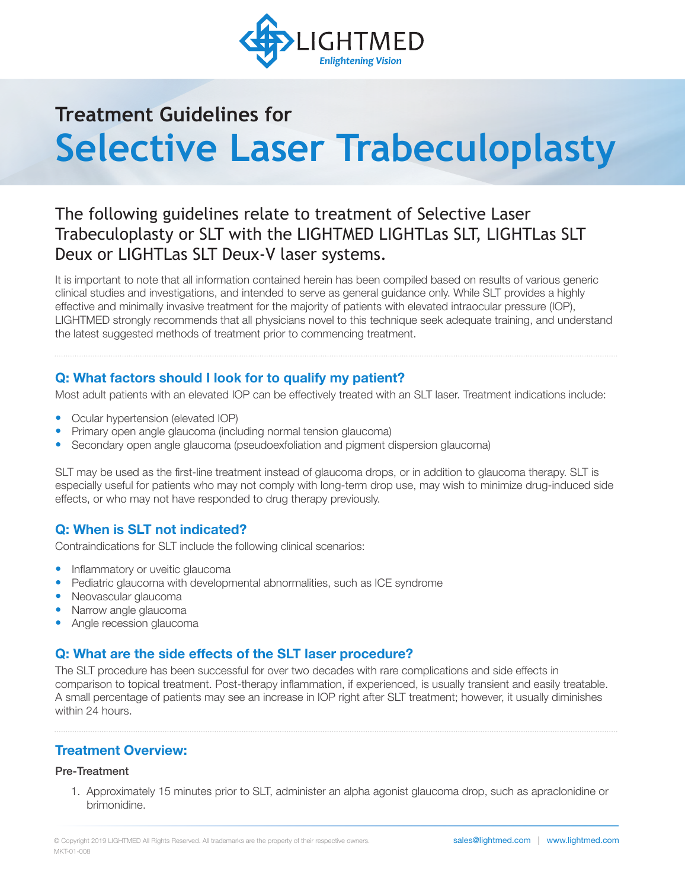

# **Treatment Guidelines for Selective Laser Trabeculoplasty**

## The following guidelines relate to treatment of Selective Laser Trabeculoplasty or SLT with the LIGHTMED LIGHTLas SLT, LIGHTLas SLT Deux or LIGHTLas SLT Deux-V laser systems.

It is important to note that all information contained herein has been compiled based on results of various generic clinical studies and investigations, and intended to serve as general guidance only. While SLT provides a highly effective and minimally invasive treatment for the majority of patients with elevated intraocular pressure (IOP), LIGHTMED strongly recommends that all physicians novel to this technique seek adequate training, and understand the latest suggested methods of treatment prior to commencing treatment.

## **Q: What factors should I look for to qualify my patient?**

Most adult patients with an elevated IOP can be effectively treated with an SLT laser. Treatment indications include:

- Ocular hypertension (elevated IOP)
- Primary open angle glaucoma (including normal tension glaucoma)
- Secondary open angle glaucoma (pseudoexfoliation and pigment dispersion glaucoma)

SLT may be used as the first-line treatment instead of glaucoma drops, or in addition to glaucoma therapy. SLT is especially useful for patients who may not comply with long-term drop use, may wish to minimize drug-induced side effects, or who may not have responded to drug therapy previously.

## **Q: When is SLT not indicated?**

Contraindications for SLT include the following clinical scenarios:

- Inflammatory or uveitic glaucoma
- Pediatric glaucoma with developmental abnormalities, such as ICE syndrome
- Neovascular glaucoma
- Narrow angle glaucoma
- Angle recession glaucoma

## **Q: What are the side effects of the SLT laser procedure?**

The SLT procedure has been successful for over two decades with rare complications and side effects in comparison to topical treatment. Post-therapy inflammation, if experienced, is usually transient and easily treatable. A small percentage of patients may see an increase in IOP right after SLT treatment; however, it usually diminishes within 24 hours.

## **Treatment Overview:**

#### Pre-Treatment

1. Approximately 15 minutes prior to SLT, administer an alpha agonist glaucoma drop, such as apraclonidine or brimonidine.